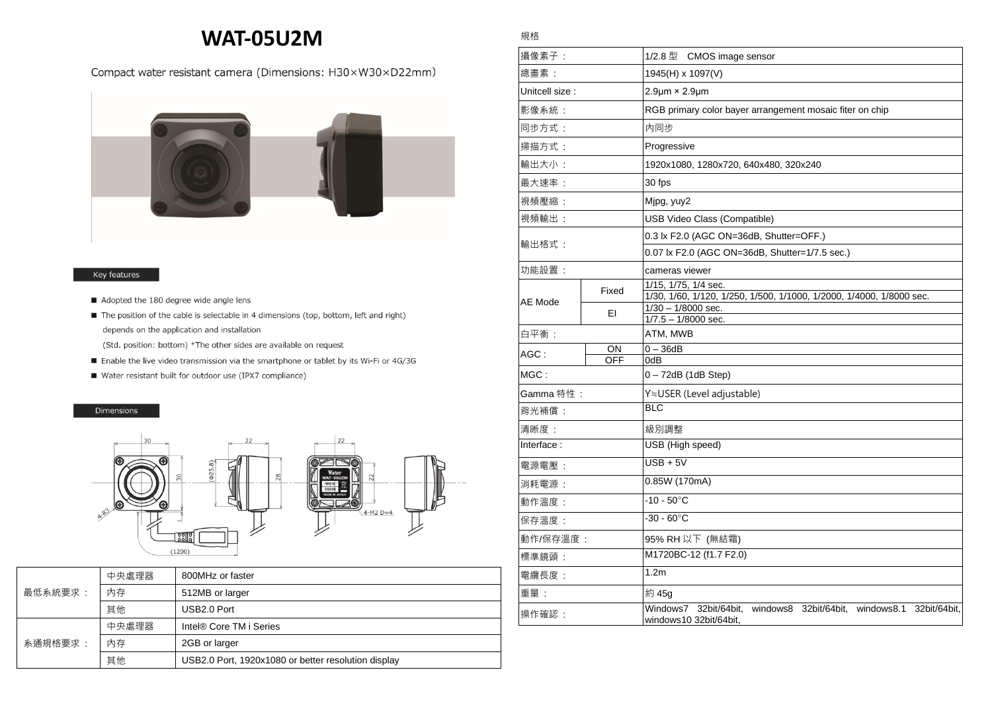## **WAT-05U2M**

## Compact water resistant camera (Dimensions: H30×W30×D22mm)



## Key features

- Adopted the 180 degree wide angle lens
- The position of the cable is selectable in 4 dimensions (top, bottom, left and right) depends on the application and installation
	- (Std. position: bottom) \*The other sides are available on request
- Enable the live video transmission via the smartphone or tablet by its Wi-Fi or 4G/3G
- Water resistant built for outdoor use (IPX7 compliance)

## Dimensions



| 最低系統要求: | 中央處理器 | 800MHz or faster                                    |
|---------|-------|-----------------------------------------------------|
|         | 內存    | 512MB or larger                                     |
|         | 其他    | USB2.0 Port                                         |
| 系涌規格要求: | 中央處理器 | Intel® Core TM i Series                             |
|         | 內存    | 2GB or larger                                       |
|         | 其他    | USB2.0 Port, 1920x1080 or better resolution display |

| 攝像素子:           |            | 1/2.8 型 CMOS image sensor                                                                           |
|-----------------|------------|-----------------------------------------------------------------------------------------------------|
| 總畫素:            |            | 1945(H) x 1097(V)                                                                                   |
| Unitcell size : |            | $2.9 \mu m \times 2.9 \mu m$                                                                        |
| 影像系統:           |            | RGB primary color bayer arrangement mosaic fiter on chip                                            |
| 同步方式:           |            | 內同步                                                                                                 |
| 掃描方式:           |            | Progressive                                                                                         |
| 輸出大小:           |            | 1920x1080, 1280x720, 640x480, 320x240                                                               |
| 最大速率:           |            | 30 fps                                                                                              |
| 視頻壓縮:           |            | Mjpg, yuy2                                                                                          |
| 視頻輸出:           |            | USB Video Class (Compatible)                                                                        |
| 輸出格式:           |            | 0.3 lx F2.0 (AGC ON=36dB, Shutter=OFF.)                                                             |
|                 |            | 0.07 lx F2.0 (AGC ON=36dB, Shutter=1/7.5 sec.)                                                      |
| 功能設置:           |            | cameras viewer                                                                                      |
|                 | Fixed      | 1/15, 1/75, 1/4 sec.                                                                                |
| AE Mode         |            | 1/30, 1/60, 1/120, 1/250, 1/500, 1/1000, 1/2000, 1/4000, 1/8000 sec.<br>$1/30 - 1/8000$ sec.        |
|                 | EI         | $1/7.5 - 1/8000$ sec.                                                                               |
| 白平衡:            |            | ATM, MWB                                                                                            |
| $AGC$ :         | ON         | $0 - 36dB$                                                                                          |
| MGC:            | <b>OFF</b> | 0dB<br>$0 - 72dB$ (1dB Step)                                                                        |
|                 |            |                                                                                                     |
| Gamma 特性:       |            | Y≒USER (Level adjustable)<br><b>BLC</b>                                                             |
| 背光補償:           |            |                                                                                                     |
| 清晰度:            |            | 級別調整                                                                                                |
| Interface:      |            | USB (High speed)                                                                                    |
| 電源電壓:           |            | $\overline{USB + 5V}$                                                                               |
| 消耗電源:           |            | 0.85W (170mA)                                                                                       |
| 動作溫度:           |            | $-10 - 50^{\circ}$ C                                                                                |
| 保存溫度:           |            | $-30 - 60^{\circ}$ C                                                                                |
| 動作/保存溫度 :       |            | 95% RH 以下 (無結霜)                                                                                     |
| 標準鏡頭:           |            | M1720BC-12 (f1.7 F2.0)                                                                              |
| 電纜長度:           |            | 1.2m                                                                                                |
| 重量:             |            | 約 45g                                                                                               |
| 操作確認:           |            | Windows7<br>32bit/64bit,<br>windows8 32bit/64bit, windows8.1 32bit/64bit,<br>windows10 32bit/64bit, |